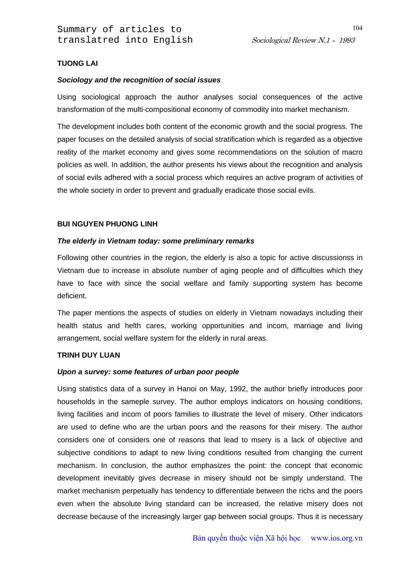## **TUONG LAI**

## *Sociology and the recognition of social issues*

Using sociological approach the author analyses social consequences of the active transformation of the multi-compositional economy of commodity into market mechanism.

The development includes both content of the economic growth and the social progress. The paper focuses on the detailed analysis of social stratification which is regarded as a objective reality of the market economy and gives some recommendations on the solution of macro policies as well. In addition, the author presents his views about the recognition and analysis of social evils adhered with a social process which requires an active program of activities of the whole society in order to prevent and gradually eradicate those social evils.

## **BUI NGUYEN PHUONG LINH**

## *The elderly in Vietnam today: some preliminary remarks*

Following other countries in the region, the elderly is also a topic for active discussionss in Vietnam due to increase in absolute number of aging people and of difficulties which they have to face with since the social welfare and family supporting system has become deficient.

The paper mentions the aspects of studies on elderly in Vietnam nowadays including their health status and helth cares, working opportunities and incom, marriage and living arrangement, social welfare system for the elderly in rural areas.

## **TRINH DUY LUAN**

### *Upon a survey: some features of urban poor people*

Using statistics data of a survey in Hanoi on May, 1992, the author briefly introduces poor households in the sameple survey. The author employs indicators on housing conditions, living facilities and incom of poors families to illustrate the level of misery. Other indicators are used to define who are the urban poors and the reasons for their misery. The author considers one of considers one of reasons that lead to msery is a lack of objective and subjective conditions to adapt to new living conditions resulted from changing the current mechanism. In conclusion, the author emphasizes the point: the concept that economic development inevitably gives decrease in misery should not be simply understand. The market mechanism perpetually has tendency to differentiale between the richs and the poors even when the absolute living standard can be increased, the relative misery does not decrease because of the increasingly larger gap between social groups. Thus it is necessary